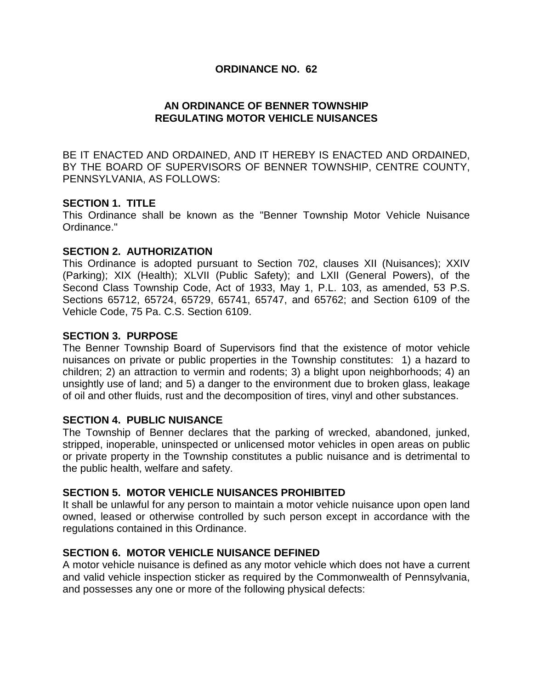### **ORDINANCE NO. 62**

## **AN ORDINANCE OF BENNER TOWNSHIP REGULATING MOTOR VEHICLE NUISANCES**

BE IT ENACTED AND ORDAINED, AND IT HEREBY IS ENACTED AND ORDAINED, BY THE BOARD OF SUPERVISORS OF BENNER TOWNSHIP, CENTRE COUNTY, PENNSYLVANIA, AS FOLLOWS:

#### **SECTION 1. TITLE**

This Ordinance shall be known as the "Benner Township Motor Vehicle Nuisance Ordinance."

### **SECTION 2. AUTHORIZATION**

This Ordinance is adopted pursuant to Section 702, clauses XII (Nuisances); XXIV (Parking); XIX (Health); XLVII (Public Safety); and LXII (General Powers), of the Second Class Township Code, Act of 1933, May 1, P.L. 103, as amended, 53 P.S. Sections 65712, 65724, 65729, 65741, 65747, and 65762; and Section 6109 of the Vehicle Code, 75 Pa. C.S. Section 6109.

### **SECTION 3. PURPOSE**

The Benner Township Board of Supervisors find that the existence of motor vehicle nuisances on private or public properties in the Township constitutes: 1) a hazard to children; 2) an attraction to vermin and rodents; 3) a blight upon neighborhoods; 4) an unsightly use of land; and 5) a danger to the environment due to broken glass, leakage of oil and other fluids, rust and the decomposition of tires, vinyl and other substances.

#### **SECTION 4. PUBLIC NUISANCE**

The Township of Benner declares that the parking of wrecked, abandoned, junked, stripped, inoperable, uninspected or unlicensed motor vehicles in open areas on public or private property in the Township constitutes a public nuisance and is detrimental to the public health, welfare and safety.

#### **SECTION 5. MOTOR VEHICLE NUISANCES PROHIBITED**

It shall be unlawful for any person to maintain a motor vehicle nuisance upon open land owned, leased or otherwise controlled by such person except in accordance with the regulations contained in this Ordinance.

#### **SECTION 6. MOTOR VEHICLE NUISANCE DEFINED**

A motor vehicle nuisance is defined as any motor vehicle which does not have a current and valid vehicle inspection sticker as required by the Commonwealth of Pennsylvania, and possesses any one or more of the following physical defects: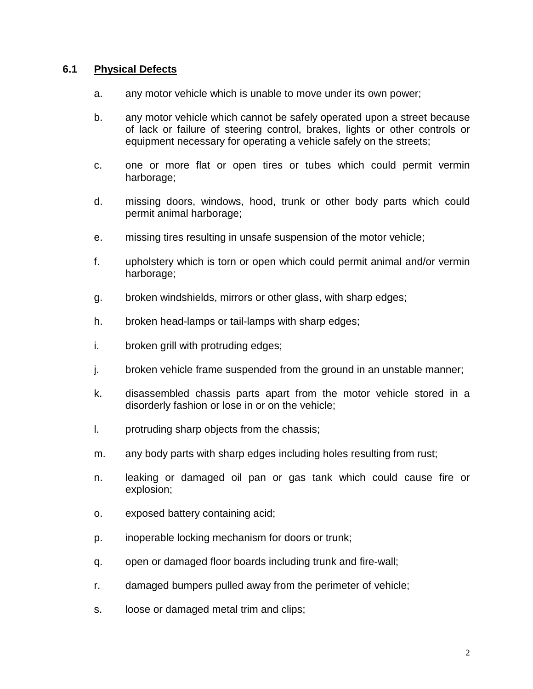## **6.1 Physical Defects**

- a. any motor vehicle which is unable to move under its own power;
- b. any motor vehicle which cannot be safely operated upon a street because of lack or failure of steering control, brakes, lights or other controls or equipment necessary for operating a vehicle safely on the streets;
- c. one or more flat or open tires or tubes which could permit vermin harborage;
- d. missing doors, windows, hood, trunk or other body parts which could permit animal harborage;
- e. missing tires resulting in unsafe suspension of the motor vehicle;
- f. upholstery which is torn or open which could permit animal and/or vermin harborage;
- g. broken windshields, mirrors or other glass, with sharp edges;
- h. broken head-lamps or tail-lamps with sharp edges;
- i. broken grill with protruding edges;
- j. broken vehicle frame suspended from the ground in an unstable manner;
- k. disassembled chassis parts apart from the motor vehicle stored in a disorderly fashion or lose in or on the vehicle;
- l. protruding sharp objects from the chassis;
- m. any body parts with sharp edges including holes resulting from rust;
- n. leaking or damaged oil pan or gas tank which could cause fire or explosion;
- o. exposed battery containing acid;
- p. inoperable locking mechanism for doors or trunk;
- q. open or damaged floor boards including trunk and fire-wall;
- r. damaged bumpers pulled away from the perimeter of vehicle;
- s. loose or damaged metal trim and clips;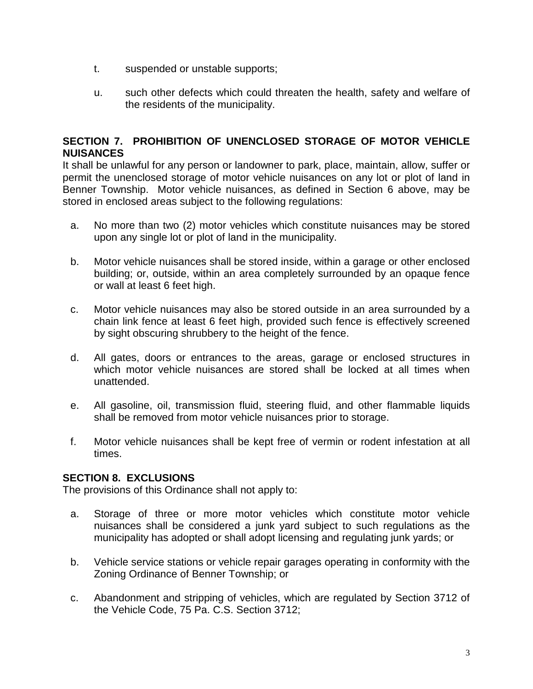- t. suspended or unstable supports;
- u. such other defects which could threaten the health, safety and welfare of the residents of the municipality.

# **SECTION 7. PROHIBITION OF UNENCLOSED STORAGE OF MOTOR VEHICLE NUISANCES**

It shall be unlawful for any person or landowner to park, place, maintain, allow, suffer or permit the unenclosed storage of motor vehicle nuisances on any lot or plot of land in Benner Township. Motor vehicle nuisances, as defined in Section 6 above, may be stored in enclosed areas subject to the following regulations:

- a. No more than two (2) motor vehicles which constitute nuisances may be stored upon any single lot or plot of land in the municipality.
- b. Motor vehicle nuisances shall be stored inside, within a garage or other enclosed building; or, outside, within an area completely surrounded by an opaque fence or wall at least 6 feet high.
- c. Motor vehicle nuisances may also be stored outside in an area surrounded by a chain link fence at least 6 feet high, provided such fence is effectively screened by sight obscuring shrubbery to the height of the fence.
- d. All gates, doors or entrances to the areas, garage or enclosed structures in which motor vehicle nuisances are stored shall be locked at all times when unattended.
- e. All gasoline, oil, transmission fluid, steering fluid, and other flammable liquids shall be removed from motor vehicle nuisances prior to storage.
- f. Motor vehicle nuisances shall be kept free of vermin or rodent infestation at all times.

# **SECTION 8. EXCLUSIONS**

The provisions of this Ordinance shall not apply to:

- a. Storage of three or more motor vehicles which constitute motor vehicle nuisances shall be considered a junk yard subject to such regulations as the municipality has adopted or shall adopt licensing and regulating junk yards; or
- b. Vehicle service stations or vehicle repair garages operating in conformity with the Zoning Ordinance of Benner Township; or
- c. Abandonment and stripping of vehicles, which are regulated by Section 3712 of the Vehicle Code, 75 Pa. C.S. Section 3712;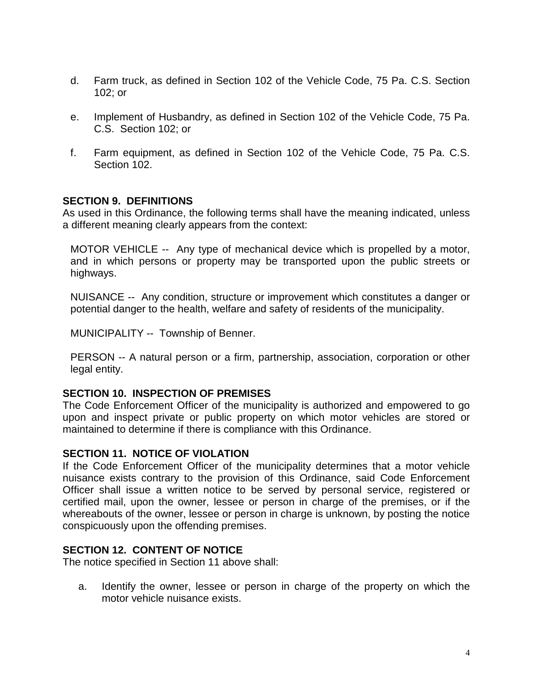- d. Farm truck, as defined in Section 102 of the Vehicle Code, 75 Pa. C.S. Section 102; or
- e. Implement of Husbandry, as defined in Section 102 of the Vehicle Code, 75 Pa. C.S. Section 102; or
- f. Farm equipment, as defined in Section 102 of the Vehicle Code, 75 Pa. C.S. Section 102.

### **SECTION 9. DEFINITIONS**

As used in this Ordinance, the following terms shall have the meaning indicated, unless a different meaning clearly appears from the context:

MOTOR VEHICLE -- Any type of mechanical device which is propelled by a motor, and in which persons or property may be transported upon the public streets or highways.

NUISANCE -- Any condition, structure or improvement which constitutes a danger or potential danger to the health, welfare and safety of residents of the municipality.

MUNICIPALITY -- Township of Benner.

PERSON -- A natural person or a firm, partnership, association, corporation or other legal entity.

#### **SECTION 10. INSPECTION OF PREMISES**

The Code Enforcement Officer of the municipality is authorized and empowered to go upon and inspect private or public property on which motor vehicles are stored or maintained to determine if there is compliance with this Ordinance.

#### **SECTION 11. NOTICE OF VIOLATION**

If the Code Enforcement Officer of the municipality determines that a motor vehicle nuisance exists contrary to the provision of this Ordinance, said Code Enforcement Officer shall issue a written notice to be served by personal service, registered or certified mail, upon the owner, lessee or person in charge of the premises, or if the whereabouts of the owner, lessee or person in charge is unknown, by posting the notice conspicuously upon the offending premises.

### **SECTION 12. CONTENT OF NOTICE**

The notice specified in Section 11 above shall:

a. Identify the owner, lessee or person in charge of the property on which the motor vehicle nuisance exists.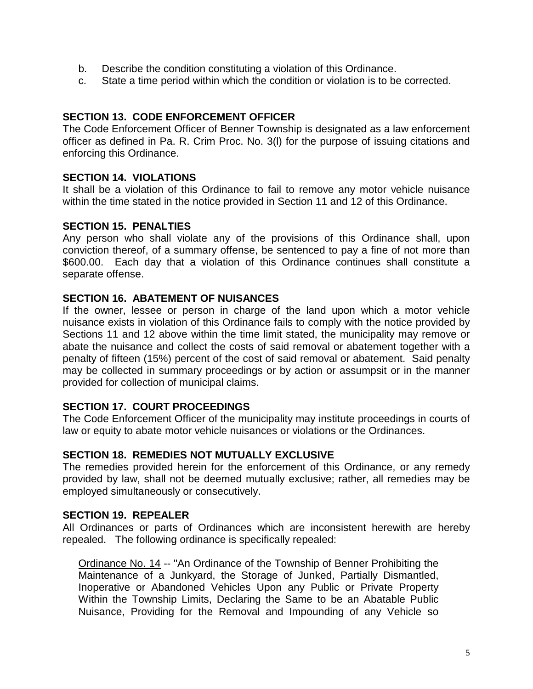- b. Describe the condition constituting a violation of this Ordinance.
- c. State a time period within which the condition or violation is to be corrected.

## **SECTION 13. CODE ENFORCEMENT OFFICER**

The Code Enforcement Officer of Benner Township is designated as a law enforcement officer as defined in Pa. R. Crim Proc. No. 3(l) for the purpose of issuing citations and enforcing this Ordinance.

### **SECTION 14. VIOLATIONS**

It shall be a violation of this Ordinance to fail to remove any motor vehicle nuisance within the time stated in the notice provided in Section 11 and 12 of this Ordinance.

### **SECTION 15. PENALTIES**

Any person who shall violate any of the provisions of this Ordinance shall, upon conviction thereof, of a summary offense, be sentenced to pay a fine of not more than \$600.00. Each day that a violation of this Ordinance continues shall constitute a separate offense.

## **SECTION 16. ABATEMENT OF NUISANCES**

If the owner, lessee or person in charge of the land upon which a motor vehicle nuisance exists in violation of this Ordinance fails to comply with the notice provided by Sections 11 and 12 above within the time limit stated, the municipality may remove or abate the nuisance and collect the costs of said removal or abatement together with a penalty of fifteen (15%) percent of the cost of said removal or abatement. Said penalty may be collected in summary proceedings or by action or assumpsit or in the manner provided for collection of municipal claims.

### **SECTION 17. COURT PROCEEDINGS**

The Code Enforcement Officer of the municipality may institute proceedings in courts of law or equity to abate motor vehicle nuisances or violations or the Ordinances.

### **SECTION 18. REMEDIES NOT MUTUALLY EXCLUSIVE**

The remedies provided herein for the enforcement of this Ordinance, or any remedy provided by law, shall not be deemed mutually exclusive; rather, all remedies may be employed simultaneously or consecutively.

#### **SECTION 19. REPEALER**

All Ordinances or parts of Ordinances which are inconsistent herewith are hereby repealed. The following ordinance is specifically repealed:

Ordinance No. 14 -- "An Ordinance of the Township of Benner Prohibiting the Maintenance of a Junkyard, the Storage of Junked, Partially Dismantled, Inoperative or Abandoned Vehicles Upon any Public or Private Property Within the Township Limits, Declaring the Same to be an Abatable Public Nuisance, Providing for the Removal and Impounding of any Vehicle so